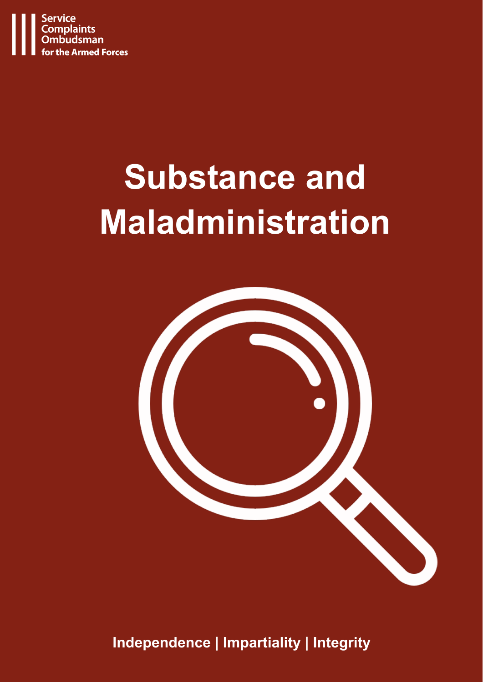

# **Substance and Maladministration**



**Independence | Impartiality | Integrity**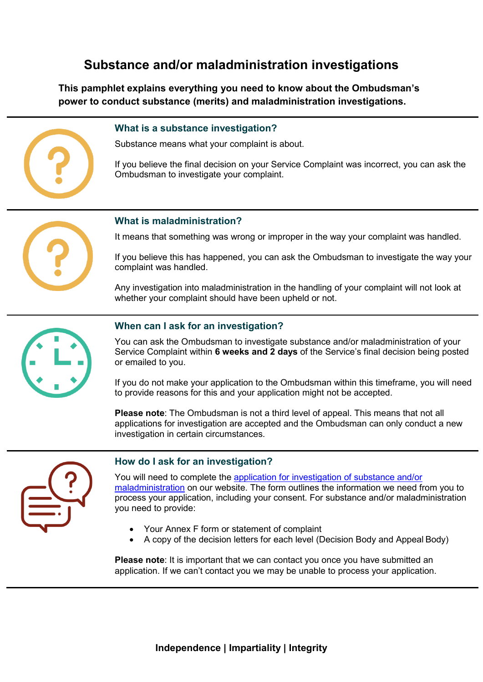# **Substance and/or maladministration investigations**

**This pamphlet explains everything you need to know about the Ombudsman's power to conduct substance (merits) and maladministration investigations.**

# **What is a substance investigation?**

Substance means what your complaint is about.

If you believe the final decision on your Service Complaint was incorrect, you can ask the Ombudsman to investigate your complaint.

## **What is maladministration?**

It means that something was wrong or improper in the way your complaint was handled.

If you believe this has happened, you can ask the Ombudsman to investigate the way your complaint was handled.

Any investigation into maladministration in the handling of your complaint will not look at whether your complaint should have been upheld or not.



# **When can I ask for an investigation?**

You can ask the Ombudsman to investigate substance and/or maladministration of your Service Complaint within **6 weeks and 2 days** of the Service's final decision being posted or emailed to you.

If you do not make your application to the Ombudsman within this timeframe, you will need to provide reasons for this and your application might not be accepted.

**Please note**: The Ombudsman is not a third level of appeal. This means that not all applications for investigation are accepted and the Ombudsman can only conduct a new investigation in certain circumstances.



# **How do I ask for an investigation?**

You will need to complete the [application for investigation of substance and/or](https://www.scoaf.org.uk/download/3882/) [maladministration](https://www.scoaf.org.uk/download/3882/) on our website. The form outlines the information we need from you to process your application, including your consent. For substance and/or maladministration you need to provide:

- Your Annex F form or statement of complaint
- A copy of the decision letters for each level (Decision Body and Appeal Body)

**Please note**: It is important that we can contact you once you have submitted an application. If we can't contact you we may be unable to process your application.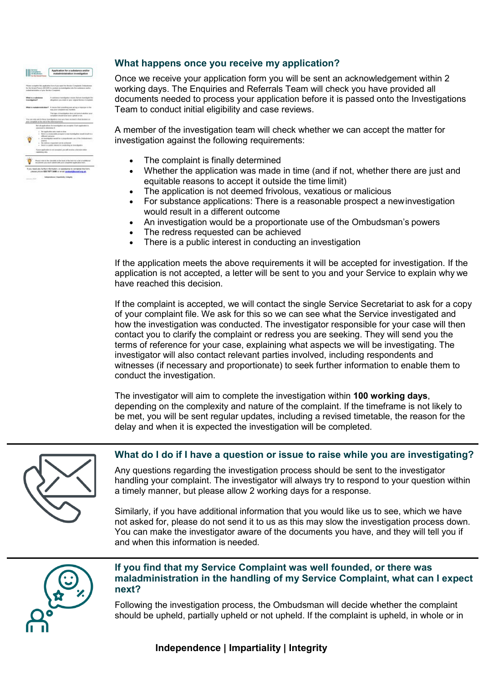| <b>Automatic</b><br><b>Annual Forms</b>             | Application for a sabstance and/or<br>raaladministration investigation                                                                                                                                                                                                                                                                               |
|-----------------------------------------------------|------------------------------------------------------------------------------------------------------------------------------------------------------------------------------------------------------------------------------------------------------------------------------------------------------------------------------------------------------|
| nakademisilation of your Berbon Complaint.          | Please scrapkite this application from if you want the Bendur Complaints Cindoakonasi<br>for the durand Poston (SECAR) to constant an intendigation telo the substance weaker                                                                                                                                                                        |
| What is a substance<br>Technikevil                  | A talistician investigation means. But we investigate the<br>allygatizers was might be your critical Bervice Complexis.                                                                                                                                                                                                                              |
| <b>What is matedes</b><br>stalk islami P            | If I recons that something enal without an intention in the<br>man your complaint was: familied.                                                                                                                                                                                                                                                     |
|                                                     | This hape of investigation does not look at whether your<br>currently could be a book to control the                                                                                                                                                                                                                                                 |
| and complicated at the end of the internal process. | You can selp ank for these issues guidens once you have secured a final designs on                                                                                                                                                                                                                                                                   |
| ananyond in christmas &                             | Net all applications for interstigation and accepted. Each application in                                                                                                                                                                                                                                                                            |
| ٠<br><b>Jowers</b><br>٠                             | The spatialities was statile to litter to a subject to the control of the station<br>Bank is a managedia conspeci is new investigation would recall is a<br>different industrie-<br>an investigation would be a proportionate use of the Disdu<br>the stdrives requested can be schiened<br>there is a partic interest in combining an investigation |
| resistants rains                                    | If your application is not assurant a you will neutral a ductaton infan-                                                                                                                                                                                                                                                                             |
| ×                                                   | Phone robe to the clinchist of the back of the bettyto' a let of additional<br>An among taxa must called with your campbeled made also been.                                                                                                                                                                                                         |
|                                                     | If you meet any further information, or assistance to complete this form,                                                                                                                                                                                                                                                                            |
|                                                     | closes choose \$30,7577 3480 or email constantificated or a ab-                                                                                                                                                                                                                                                                                      |

# **What happens once you receive my application?**

Once we receive your application form you will be sent an acknowledgement within 2 working days. The Enquiries and Referrals Team will check you have provided all documents needed to process your application before it is passed onto the Investigations Team to conduct initial eligibility and case reviews.

A member of the investigation team will check whether we can accept the matter for investigation against the following requirements:

- The complaint is finally determined
- Whether the application was made in time (and if not, whether there are just and equitable reasons to accept it outside the time limit)
- The application is not deemed frivolous, vexatious or malicious
- For substance applications: There is a reasonable prospect a newinvestigation would result in a different outcome
- An investigation would be a proportionate use of the Ombudsman's powers
- The redress requested can be achieved
- There is a public interest in conducting an investigation

If the application meets the above requirements it will be accepted for investigation. If the application is not accepted, a letter will be sent to you and your Service to explain why we have reached this decision.

If the complaint is accepted, we will contact the single Service Secretariat to ask for a copy of your complaint file. We ask for this so we can see what the Service investigated and how the investigation was conducted. The investigator responsible for your case will then contact you to clarify the complaint or redress you are seeking. They will send you the terms of reference for your case, explaining what aspects we will be investigating. The investigator will also contact relevant parties involved, including respondents and witnesses (if necessary and proportionate) to seek further information to enable them to conduct the investigation.

The investigator will aim to complete the investigation within **100 working days**, depending on the complexity and nature of the complaint. If the timeframe is not likely to be met, you will be sent regular updates, including a revised timetable, the reason for the delay and when it is expected the investigation will be completed.



#### **What do I do if I have a question or issue to raise while you are investigating?**

Any questions regarding the investigation process should be sent to the investigator handling your complaint. The investigator will always try to respond to your question within a timely manner, but please allow 2 working days for a response.

Similarly, if you have additional information that you would like us to see, which we have not asked for, please do not send it to us as this may slow the investigation process down. You can make the investigator aware of the documents you have, and they will tell you if and when this information is needed.



# **If you find that my Service Complaint was well founded, or there was maladministration in the handling of my Service Complaint, what can I expect next?**

Following the investigation process, the Ombudsman will decide whether the complaint should be upheld, partially upheld or not upheld. If the complaint is upheld, in whole or in

**Independence | Impartiality | Integrity**